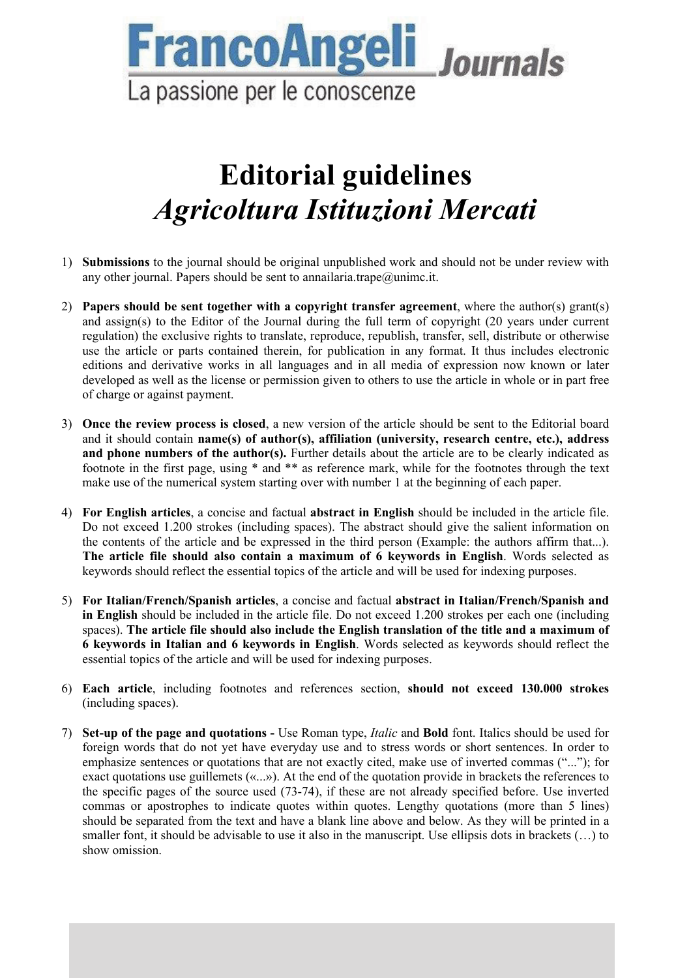

## **Editorial guidelines**  *Agricoltura Istituzioni Mercati*

- 1) **Submissions** to the journal should be original unpublished work and should not be under review with any other journal. Papers should be sent to annailaria.trape@unimc.it.
- 2) **Papers should be sent together with a copyright transfer agreement**, where the author(s) grant(s) and assign(s) to the Editor of the Journal during the full term of copyright (20 years under current regulation) the exclusive rights to translate, reproduce, republish, transfer, sell, distribute or otherwise use the article or parts contained therein, for publication in any format. It thus includes electronic editions and derivative works in all languages and in all media of expression now known or later developed as well as the license or permission given to others to use the article in whole or in part free of charge or against payment.
- 3) **Once the review process is closed**, a new version of the article should be sent to the Editorial board and it should contain **name(s) of author(s), affiliation (university, research centre, etc.), address and phone numbers of the author(s).** Further details about the article are to be clearly indicated as footnote in the first page, using \* and \*\* as reference mark, while for the footnotes through the text make use of the numerical system starting over with number 1 at the beginning of each paper.
- 4) **For English articles**, a concise and factual **abstract in English** should be included in the article file. Do not exceed 1.200 strokes (including spaces). The abstract should give the salient information on the contents of the article and be expressed in the third person (Example: the authors affirm that...). **The article file should also contain a maximum of 6 keywords in English**. Words selected as keywords should reflect the essential topics of the article and will be used for indexing purposes.
- 5) **For Italian/French/Spanish articles**, a concise and factual **abstract in Italian/French/Spanish and in English** should be included in the article file. Do not exceed 1.200 strokes per each one (including spaces). **The article file should also include the English translation of the title and a maximum of 6 keywords in Italian and 6 keywords in English**. Words selected as keywords should reflect the essential topics of the article and will be used for indexing purposes.
- 6) **Each article**, including footnotes and references section, **should not exceed 130.000 strokes** (including spaces).
- 7) **Set-up of the page and quotations** Use Roman type, *Italic* and **Bold** font. Italics should be used for foreign words that do not yet have everyday use and to stress words or short sentences. In order to emphasize sentences or quotations that are not exactly cited, make use of inverted commas ("..."); for exact quotations use guillemets («...»). At the end of the quotation provide in brackets the references to the specific pages of the source used (73-74), if these are not already specified before. Use inverted commas or apostrophes to indicate quotes within quotes. Lengthy quotations (more than 5 lines) should be separated from the text and have a blank line above and below. As they will be printed in a smaller font, it should be advisable to use it also in the manuscript. Use ellipsis dots in brackets (…) to show omission.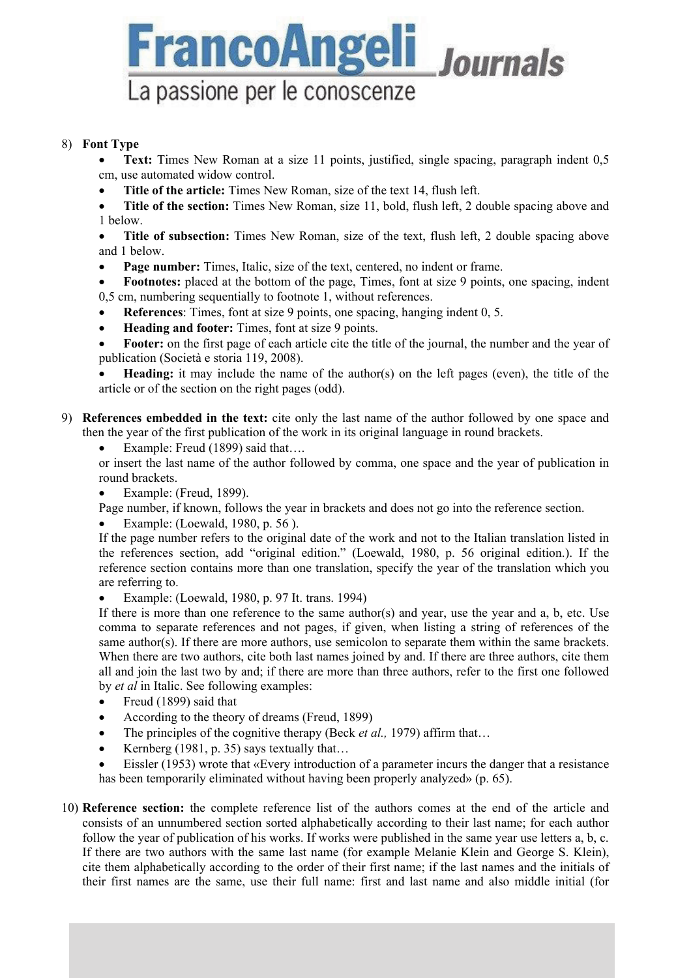

## 8) **Font Type**

 **Text:** Times New Roman at a size 11 points, justified, single spacing, paragraph indent 0,5 cm, use automated widow control.

**Title of the article:** Times New Roman, size of the text 14, flush left.

 **Title of the section:** Times New Roman, size 11, bold, flush left, 2 double spacing above and 1 below.

 **Title of subsection:** Times New Roman, size of the text, flush left, 2 double spacing above and 1 below.

**Page number:** Times, Italic, size of the text, centered, no indent or frame.

 **Footnotes:** placed at the bottom of the page, Times, font at size 9 points, one spacing, indent 0,5 cm, numbering sequentially to footnote 1, without references.

- **References**: Times, font at size 9 points, one spacing, hanging indent 0, 5.
- **Heading and footer:** Times, font at size 9 points.

 **Footer:** on the first page of each article cite the title of the journal, the number and the year of publication (Società e storia 119, 2008).

 **Heading:** it may include the name of the author(s) on the left pages (even), the title of the article or of the section on the right pages (odd).

9) **References embedded in the text:** cite only the last name of the author followed by one space and then the year of the first publication of the work in its original language in round brackets.

Example: Freud (1899) said that….

or insert the last name of the author followed by comma, one space and the year of publication in round brackets.

Example: (Freud, 1899).

Page number, if known, follows the year in brackets and does not go into the reference section.

Example: (Loewald, 1980, p. 56 ).

If the page number refers to the original date of the work and not to the Italian translation listed in the references section, add "original edition." (Loewald, 1980, p. 56 original edition.). If the reference section contains more than one translation, specify the year of the translation which you are referring to.

Example: (Loewald, 1980, p. 97 It. trans. 1994)

If there is more than one reference to the same author(s) and year, use the year and a, b, etc. Use comma to separate references and not pages, if given, when listing a string of references of the same author(s). If there are more authors, use semicolon to separate them within the same brackets. When there are two authors, cite both last names joined by and. If there are three authors, cite them all and join the last two by and; if there are more than three authors, refer to the first one followed by *et al* in Italic. See following examples:

- Freud (1899) said that
- According to the theory of dreams (Freud, 1899)
- The principles of the cognitive therapy (Beck *et al.*, 1979) affirm that...
- Exernberg (1981, p. 35) says textually that...

 Eissler (1953) wrote that «Every introduction of a parameter incurs the danger that a resistance has been temporarily eliminated without having been properly analyzed» (p. 65).

10) **Reference section:** the complete reference list of the authors comes at the end of the article and consists of an unnumbered section sorted alphabetically according to their last name; for each author follow the year of publication of his works. If works were published in the same year use letters a, b, c. If there are two authors with the same last name (for example Melanie Klein and George S. Klein), cite them alphabetically according to the order of their first name; if the last names and the initials of their first names are the same, use their full name: first and last name and also middle initial (for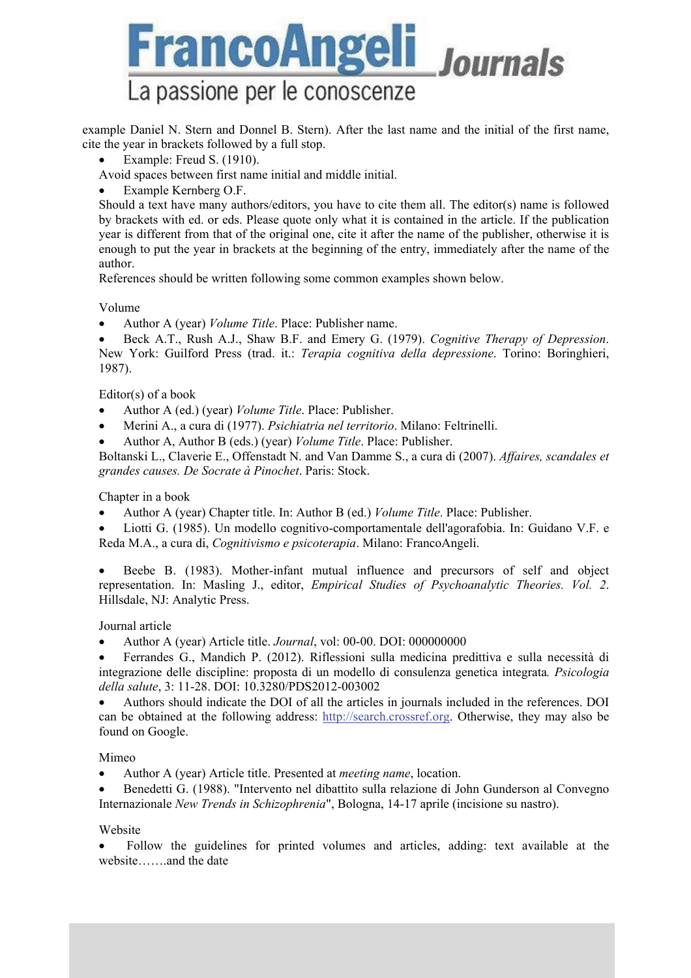

example Daniel N. Stern and Donnel B. Stern). After the last name and the initial of the first name, cite the year in brackets followed by a full stop.

- Example: Freud S. (1910).
- Avoid spaces between first name initial and middle initial.
- Example Kernberg O.F.

Should a text have many authors/editors, you have to cite them all. The editor(s) name is followed by brackets with ed. or eds. Please quote only what it is contained in the article. If the publication year is different from that of the original one, cite it after the name of the publisher, otherwise it is enough to put the year in brackets at the beginning of the entry, immediately after the name of the author.

References should be written following some common examples shown below.

Volume

Author A (year) *Volume Title*. Place: Publisher name.

 Beck A.T., Rush A.J., Shaw B.F. and Emery G. (1979). *Cognitive Therapy of Depression*. New York: Guilford Press (trad. it.: *Terapia cognitiva della depressione*. Torino: Boringhieri, 1987).

Editor(s) of a book

- Author A (ed.) (year) *Volume Title*. Place: Publisher.
- Merini A., a cura di (1977). *Psichiatria nel territorio*. Milano: Feltrinelli.
- Author A, Author B (eds.) (year) *Volume Title*. Place: Publisher.

Boltanski L., Claverie E., Offenstadt N. and Van Damme S., a cura di (2007). *Affaires, scandales et grandes causes. De Socrate à Pinochet*. Paris: Stock.

Chapter in a book

- Author A (year) Chapter title. In: Author B (ed.) *Volume Title*. Place: Publisher.
- Liotti G. (1985). Un modello cognitivo-comportamentale dell'agorafobia. In: Guidano V.F. e Reda M.A., a cura di, *Cognitivismo e psicoterapia*. Milano: FrancoAngeli.
- Beebe B. (1983). Mother-infant mutual influence and precursors of self and object representation. In: Masling J., editor, *Empirical Studies of Psychoanalytic Theories. Vol. 2*. Hillsdale, NJ: Analytic Press.

Journal article

- Author A (year) Article title. *Journal*, vol: 00-00. DOI: 000000000
- Ferrandes G., Mandich P. (2012). Riflessioni sulla medicina predittiva e sulla necessità di integrazione delle discipline: proposta di un modello di consulenza genetica integrata*. Psicologia della salute*, 3: 11-28. DOI: 10.3280/PDS2012-003002

 Authors should indicate the DOI of all the articles in journals included in the references. DOI can be obtained at the following address: http://search.crossref.org. Otherwise, they may also be found on Google.

Mimeo

- Author A (year) Article title. Presented at *meeting name*, location.
- Benedetti G. (1988). "Intervento nel dibattito sulla relazione di John Gunderson al Convegno Internazionale *New Trends in Schizophrenia*", Bologna, 14-17 aprile (incisione su nastro).

Website

 Follow the guidelines for printed volumes and articles, adding: text available at the website…….and the date